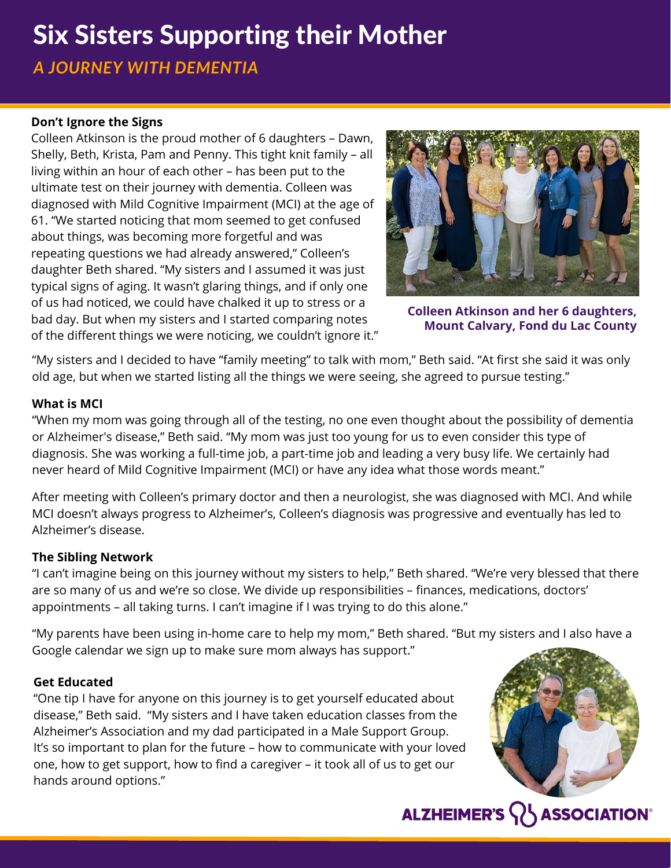## Six Sisters Supporting their Mother

*A JOURNEY WITH DEMENTIA*

#### **Don't Ignore the Signs**

Colleen Atkinson is the proud mother of 6 daughters – Dawn, Shelly, Beth, Krista, Pam and Penny. This tight knit family – all living within an hour of each other – has been put to the ultimate test on their journey with dementia. Colleen was diagnosed with Mild Cognitive Impairment (MCI) at the age of 61. "We started noticing that mom seemed to get confused about things, was becoming more forgetful and was repeating questions we had already answered," Colleen's daughter Beth shared. "My sisters and I assumed it was just typical signs of aging. It wasn't glaring things, and if only one of us had noticed, we could have chalked it up to stress or a bad day. But when my sisters and I started comparing notes of the different things we were noticing, we couldn't ignore it."



**Colleen Atkinson and her 6 daughters, Mount Calvary, Fond du Lac County**

"My sisters and I decided to have "family meeting" to talk with mom," Beth said. "At first she said it was only old age, but when we started listing all the things we were seeing, she agreed to pursue testing."

#### **What is MCI**

"When my mom was going through all of the testing, no one even thought about the possibility of dementia or Alzheimer's disease," Beth said. "My mom was just too young for us to even consider this type of diagnosis. She was working a full-time job, a part-time job and leading a very busy life. We certainly had never heard of Mild Cognitive Impairment (MCI) or have any idea what those words meant."

After meeting with Colleen's primary doctor and then a neurologist, she was diagnosed with MCI. And while MCI doesn't always progress to Alzheimer's, Colleen's diagnosis was progressive and eventually has led to Alzheimer's disease.

#### **The Sibling Network**

"I can't imagine being on this journey without my sisters to help," Beth shared. "We're very blessed that there are so many of us and we're so close. We divide up responsibilities – finances, medications, doctors' appointments – all taking turns. I can't imagine if I was trying to do this alone."

"My parents have been using in-home care to help my mom," Beth shared. "But my sisters and I also have a Google calendar we sign up to make sure mom always has support."

#### **Get Educated**

"One tip I have for anyone on this journey is to get yourself educated about disease," Beth said. "My sisters and I have taken education classes from the Alzheimer's Association and my dad participated in a Male Support Group. It's so important to plan for the future – how to communicate with your loved one, how to get support, how to find a caregiver – it took all of us to get our hands around options."



### **ALZHEIMER'S**  $\{ \}$  **ASSOCIATION®**